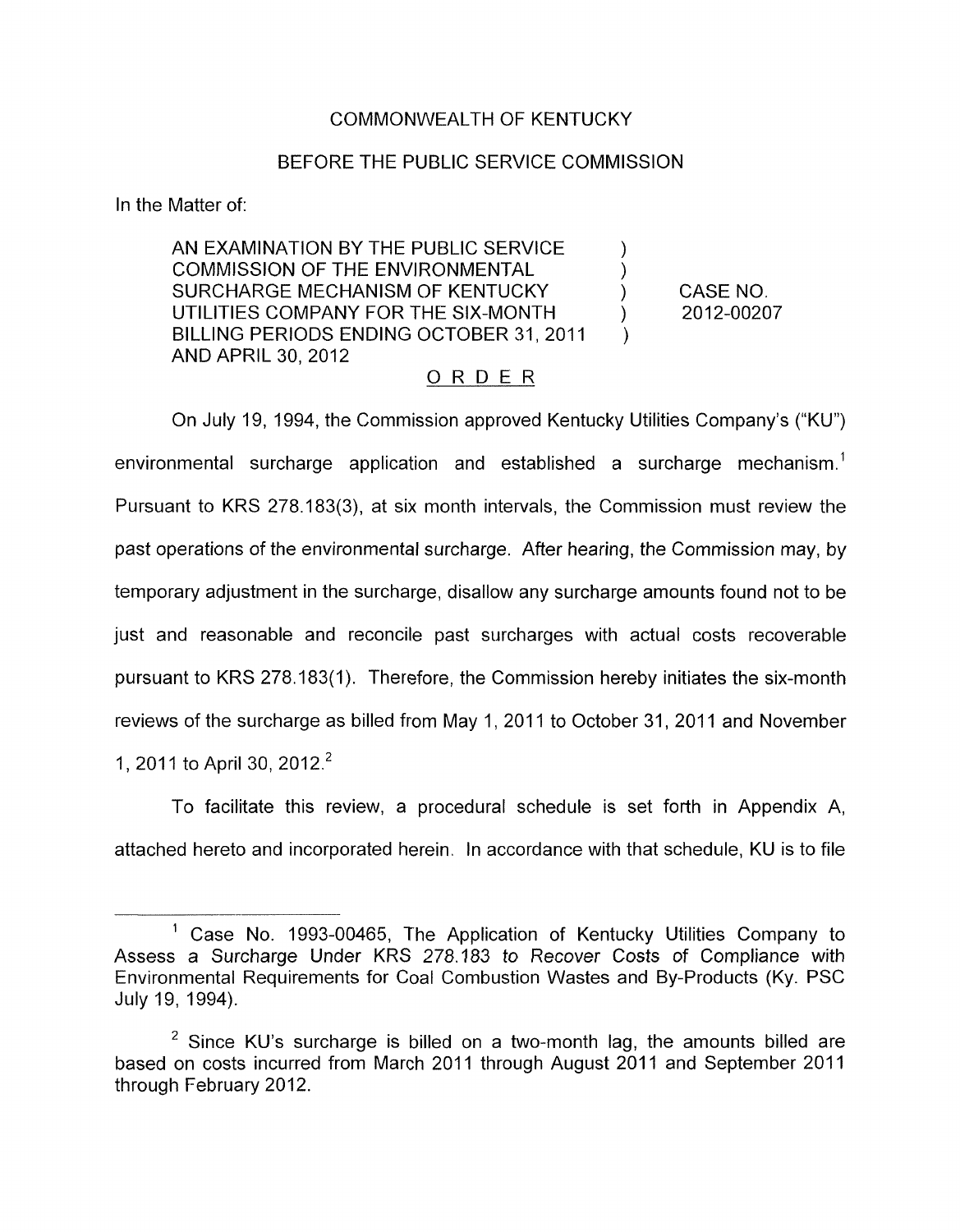## COMMONWEALTH OF KENTUCKY

#### BEFORE THE PUBLIC SERVICE COMMISSION

In the Matter of:

AN EXAMINATION BY THE PUBLIC SERVICE SURCHARGE MECHANISM OF KENTUCKY (CASE NO. BILLING PERIODS ENDING OCTOBER 31, 2011 AND APRIL 30, 2012 ) COMMISSION OF THE ENVIRONMENTAL UTILITIES COMPANY FOR THE SIX-MONTH  $\qquad$  ) 2012-00207

)

## ORDER

On July 19, 1994, the Commission approved Kentucky Utilities Company's ("KU") environmental surcharge application and established a surcharge mechanism.<sup>1</sup> Pursuant to KRS 278.183(3), at six month intervals, the Commission must review the past operations of the environmental surcharge. After hearing, the Commission may, by temporary adjustment in the surcharge, disallow any surcharge amounts found not to be just and reasonable and reconcile past surcharges with actual costs recoverable pursuant to KRS 278.183( 1). Therefore, the Commission hereby initiates the six-month reviews of the surcharge as billed from May 1, 2011 to October 31, 2011 and November 1, 2011 to April 30, 2012.<sup>2</sup>

To facilitate this review, a procedural schedule is set forth in Appendix A, attached hereto and incorporated herein. In accordance with that schedule, KU is to file

Case No. 1993-00465, The Application of Kentucky Utilities Company to Assess a Surcharge Under KRS 278.183 *to* Recover *Costs* of Compliance with Environmental Requirements for Coal Combustion Wastes and By-products (Ky. PSC July 19, 1994).

 $2$  Since KU's surcharge is billed on a two-month lag, the amounts billed are based on costs incurred from March 2011 through August 2011 and September 2011 through February 2012.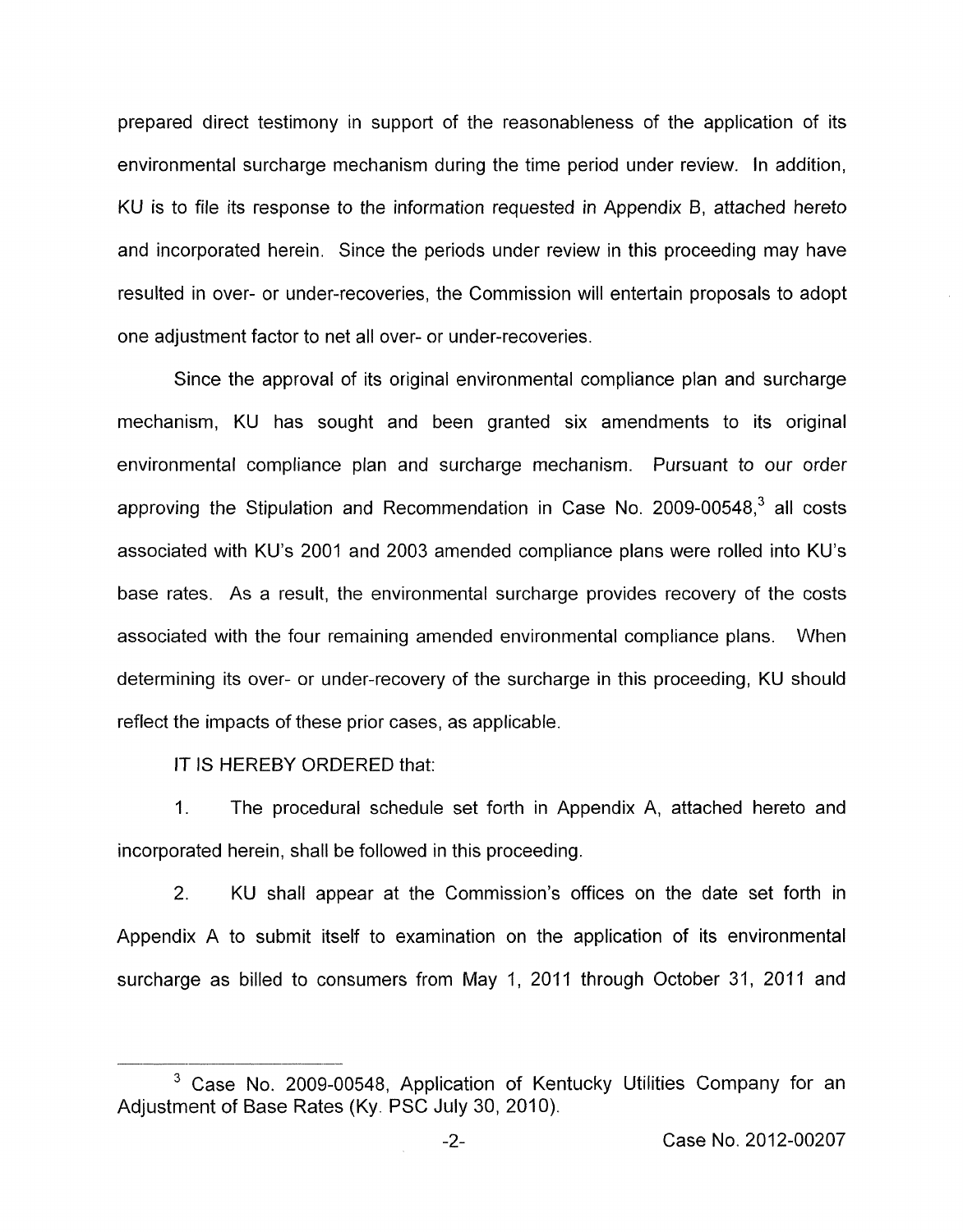prepared direct testimony in support of the reasonableness of the application of its environmental surcharge mechanism during the time period under review. In addition, KU is to file its response to the information requested in Appendix B, attached hereto and incorporated herein. Since the periods under review in this proceeding may have resulted in over- or under-recoveries, the Commission will entertain proposals to adopt one adjustment factor to net all over- or under-recoveries.

Since the approval of its original environmental compliance plan and surcharge mechanism, KU has sought and been granted six amendments to its original environmental compliance plan and surcharge mechanism. Pursuant to our order approving the Stipulation and Recommendation in Case No. 2009-00548, $3$  all costs associated with KU's 2001 and 2003 amended compliance plans were rolled into KU's base rates. As a result, the environmental surcharge provides recovery of the costs associated with the four remaining amended environmental compliance plans. When determining its over- or under-recovery of the surcharge in this proceeding, KU should reflect the impacts of these prior cases, as applicable.

IT IS HEREBY ORDERED that:

1. The procedural schedule set forth in Appendix A, attached hereto and incorporated herein, shall be followed in this proceeding.

2. KU shall appear at the Commission's offices on the date set forth in Appendix A to submit itself to examination on the application of its environmental surcharge as billed to consumers from May 1, 2011 through October 31, 2011 and

<sup>&</sup>lt;sup>3</sup> Case No. 2009-00548, Application of Kentucky Utilities Company for an Adjustment of Base Rates (Ky. PSC July 30, 2010).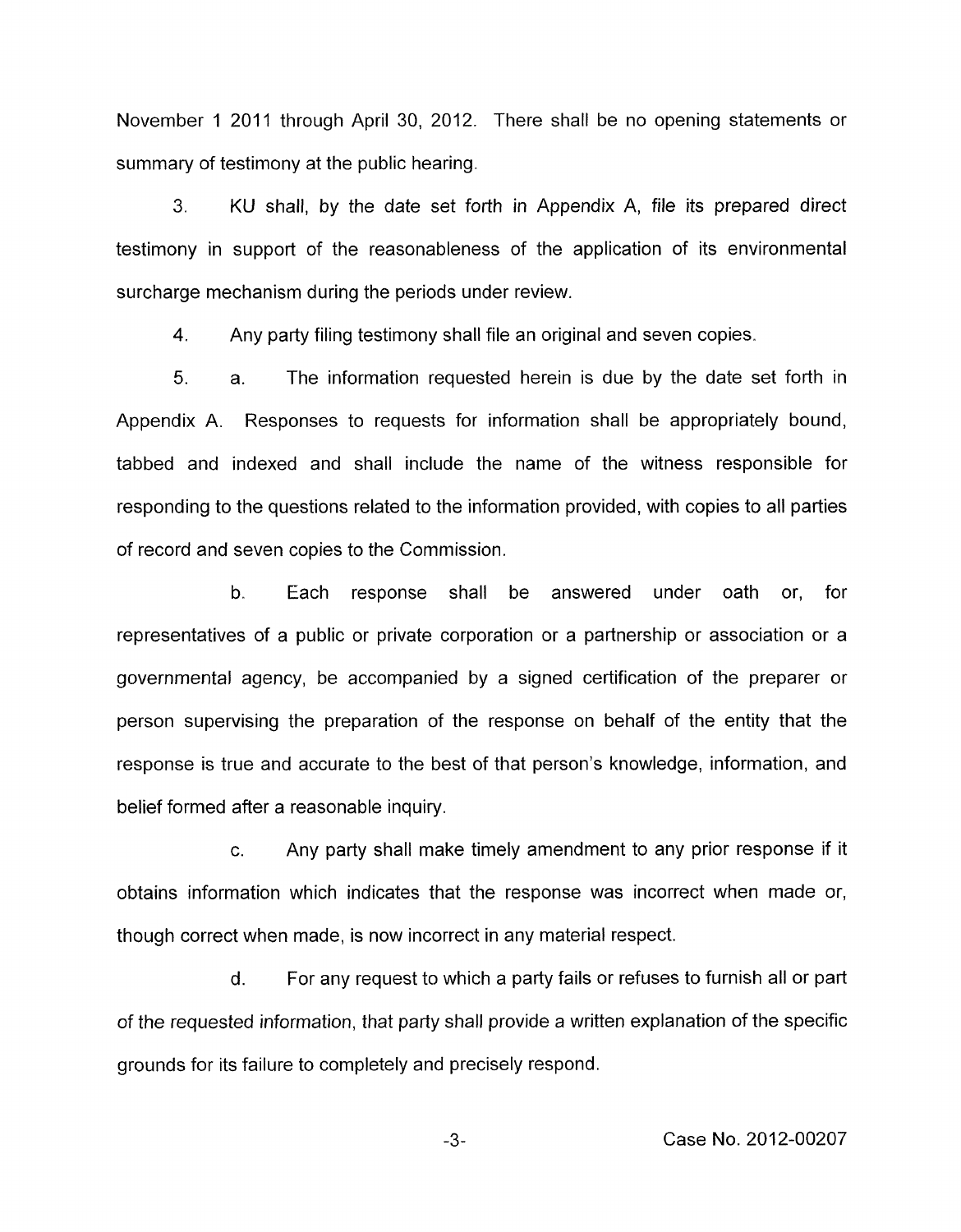November 1 2011 through April 30, 2012. There shall be no opening statements or summary of testimony at the public hearing.

**3.** KU shall, by the date set forth in Appendix A, file its prepared direct testimony in support of the reasonableness of the application of its environmental surcharge mechanism during the periods under review.

**4.**  Any party filing testimony shall file an original and seven copies.

5. a. The information requested herein is due by the date set forth in Appendix A. Responses to requests for information shall be appropriately bound, tabbed and indexed and shall include the name of the witness responsible for responding to the questions related to the information provided, with copies to all parties of record and seven copies to the Commission.

b. Each response shall be answered under oath or, for representatives of a public or private corporation or a partnership or association or a governmental agency, be accompanied by a signed certification of the preparer or person supervising the preparation of the response on behalf of the entity that the response is true and accurate to the best of that person's knowledge, information, and belief formed after a reasonable inquiry.

c. Any party shall make timely amendment to any prior response if it obtains information which indicates that the response was incorrect when made or, though correct when made, is now incorrect in any material respect.

d. For any request to which a party fails or refuses to furnish all or part of the requested information, that party shall provide a written explanation of the specific grounds for its failure to completely and precisely respond.

**-3-** Case No. 2012-00207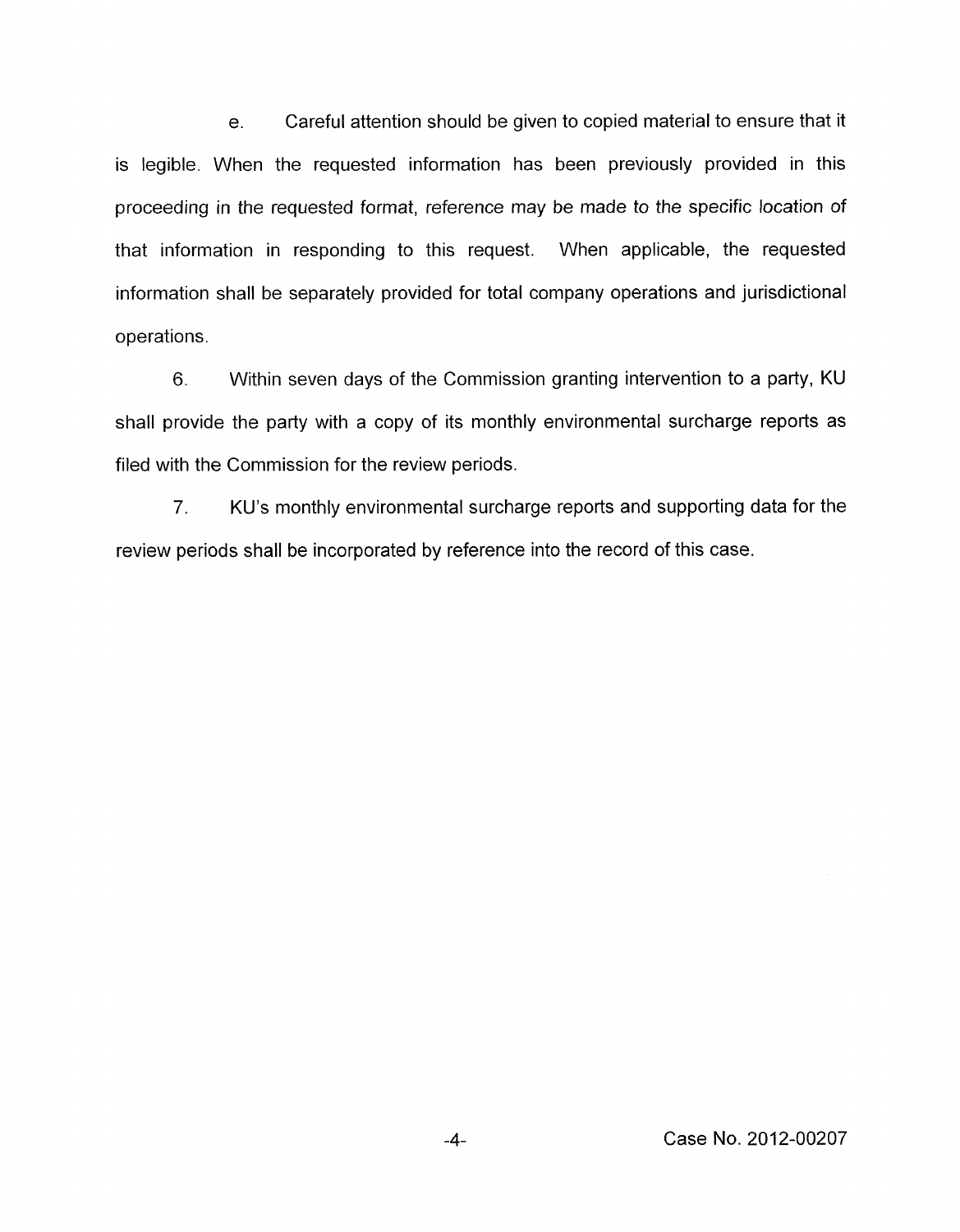e. Careful attention should be given to copied material to ensure that it is legible. When the requested information has been previously provided in this proceeding in the requested format, reference may be made to the specific location of that information in responding to this request. When applicable, the requested information shall be separately provided for total company operations and jurisdictional operations.

6. Within seven days of the Commission granting intervention to a party, KU shall provide the party with a copy of its monthly environmental surcharge reports as filed with the Commission for the review periods.

7. KU's monthly environmental surcharge reports and supporting data for the review periods shall be incorporated by reference into the record of this case.

**-4-** Case No. 2012-00207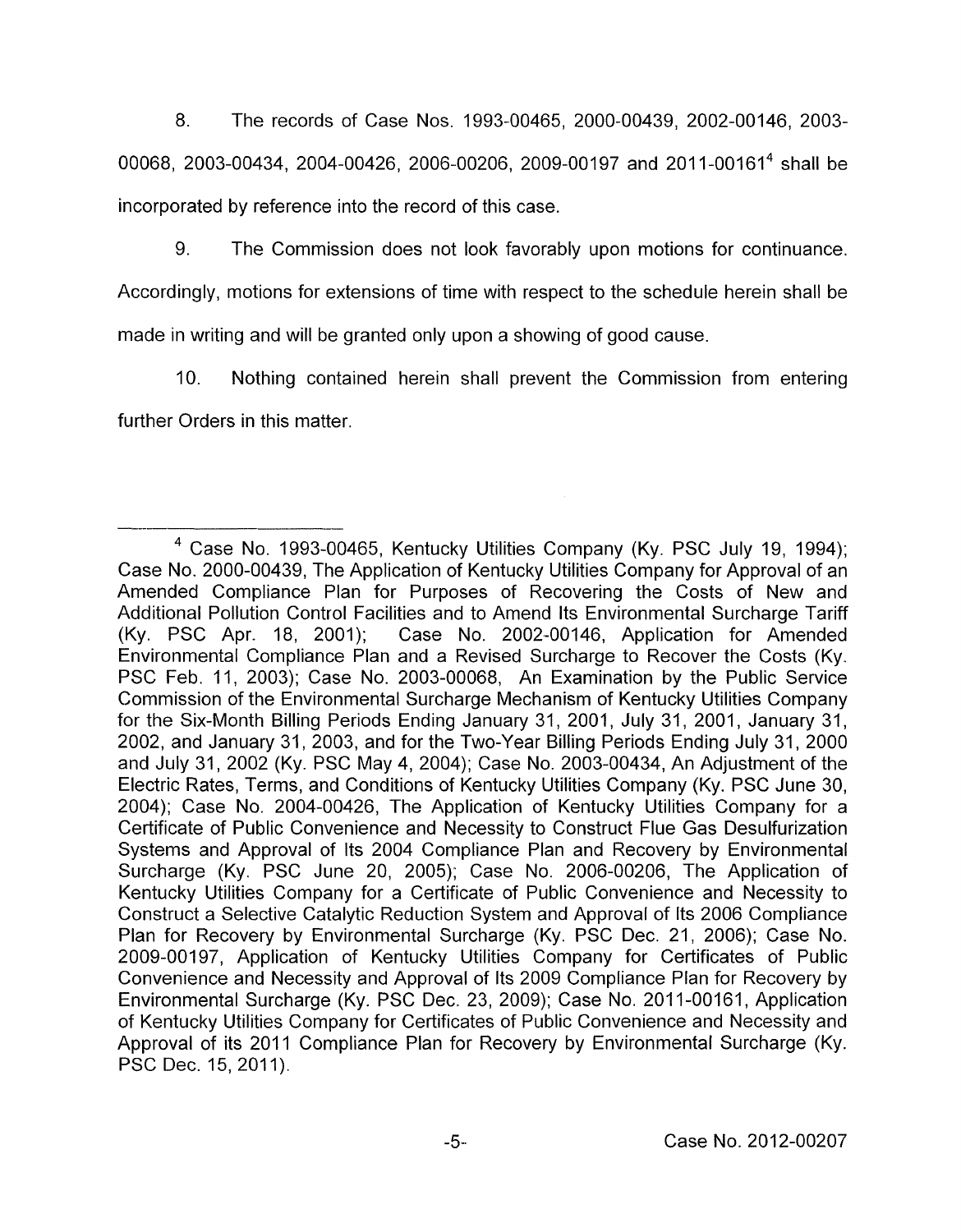8. The records of Case Nos. 1993-00465, 2000-00439, 2002-00146, 2003- 00068, 2003-00434, 2004-00426, 2006-00206, 2009-00197 and 2011-00161<sup>4</sup> shall be incorporated by reference into the record of this case.

9. The Commission does not look favorably upon motions for continuance.

Accordingly, motions for extensions of time with respect to the schedule herein shall be made in writing and will be granted only upon a showing of good cause.

IO. Nothing contained herein shall prevent the Commission from entering further Orders in this matter.

Case No. 1993-00465, Kentucky Utilities Company (Ky. PSC July 19, 1994); Case No. 2000-00439, The Application of Kentucky Utilities Company for Approval of an Amended Compliance Plan for Purposes of Recovering the Costs of New and Additional Pollution Control Facilities and to Amend Its Environmental Surcharge Tariff (Ky. PSC Apr. 18, 2001); Case No. 2002-00146, Application for Amended Environmental Compliance Plan and a Revised Surcharge to Recover the Costs (Ky. PSC Feb. 11, 2003); Case No. 2003-00068, An Examination by the Public Service Commission of the Environmental Surcharge Mechanism of Kentucky Utilities Company for the Six-Month Billing Periods Ending January 31, 2001, July 31, 2001, January 31, 2002, and January 31, 2003, and for the Two-Year Billing Periods Ending July 31, 2000 and July 31, 2002 (Ky. PSC May 4, 2004); Case No. 2003-00434, An Adjustment of the Electric Rates, Terms, and Conditions of Kentucky Utilities Company (Ky. PSC June 30, 2004); Case No. 2004-00426, The Application of Kentucky Utilities Company for a Certificate of Public Convenience and Necessity to Construct Flue Gas Desulfurization Systems and Approval of Its 2004 Compliance Plan and Recovery by Environmental Surcharge (Ky. PSC June 20, 2005); Case No. 2006-00206, The Application of Kentucky Utilities Company for a Certificate of Public Convenience and Necessity to Construct a Selective Catalytic Reduction System and Approval of Its 2006 Compliance Plan for Recovery by Environmental Surcharge (Ky. PSC Dec. 21, 2006); Case No. 2009-00197, Application of Kentucky Utilities Company for Certificates of Public Convenience and Necessity and Approval of Its 2009 Compliance Plan for Recovery by Environmental Surcharge (Ky. PSC Dec. 23, 2009); Case No. 2011-00161, Application of Kentucky Utilities Company for Certificates of Public Convenience and Necessity and Approval of its 2011 Compliance Plan for Recovery by Environmental Surcharge (Ky. PSC Dec. 15, 2011).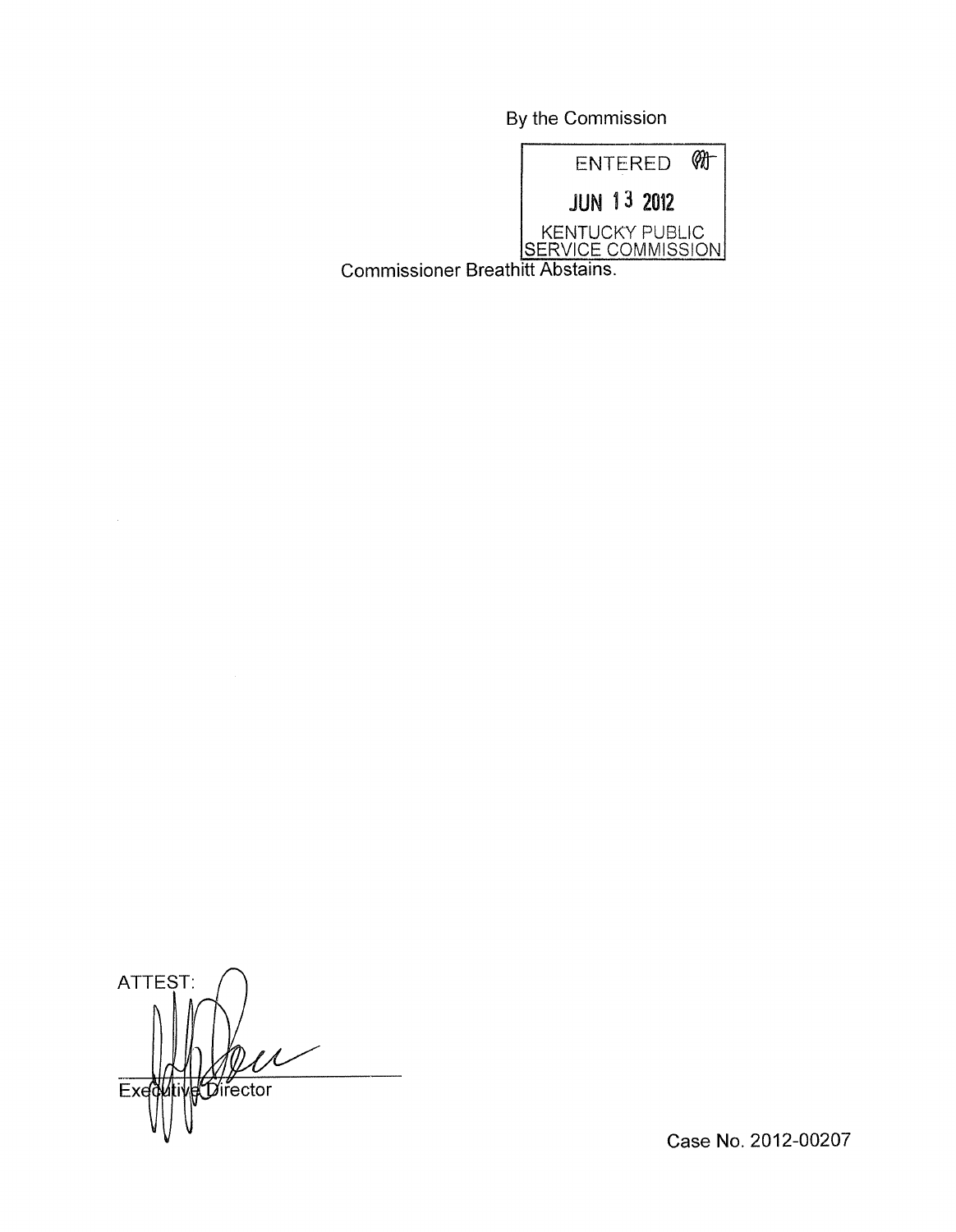By the Commission



Commissioner Breathitt Abstains.

ATTEST: **Ative Director** Exed

Case No. 2012-00207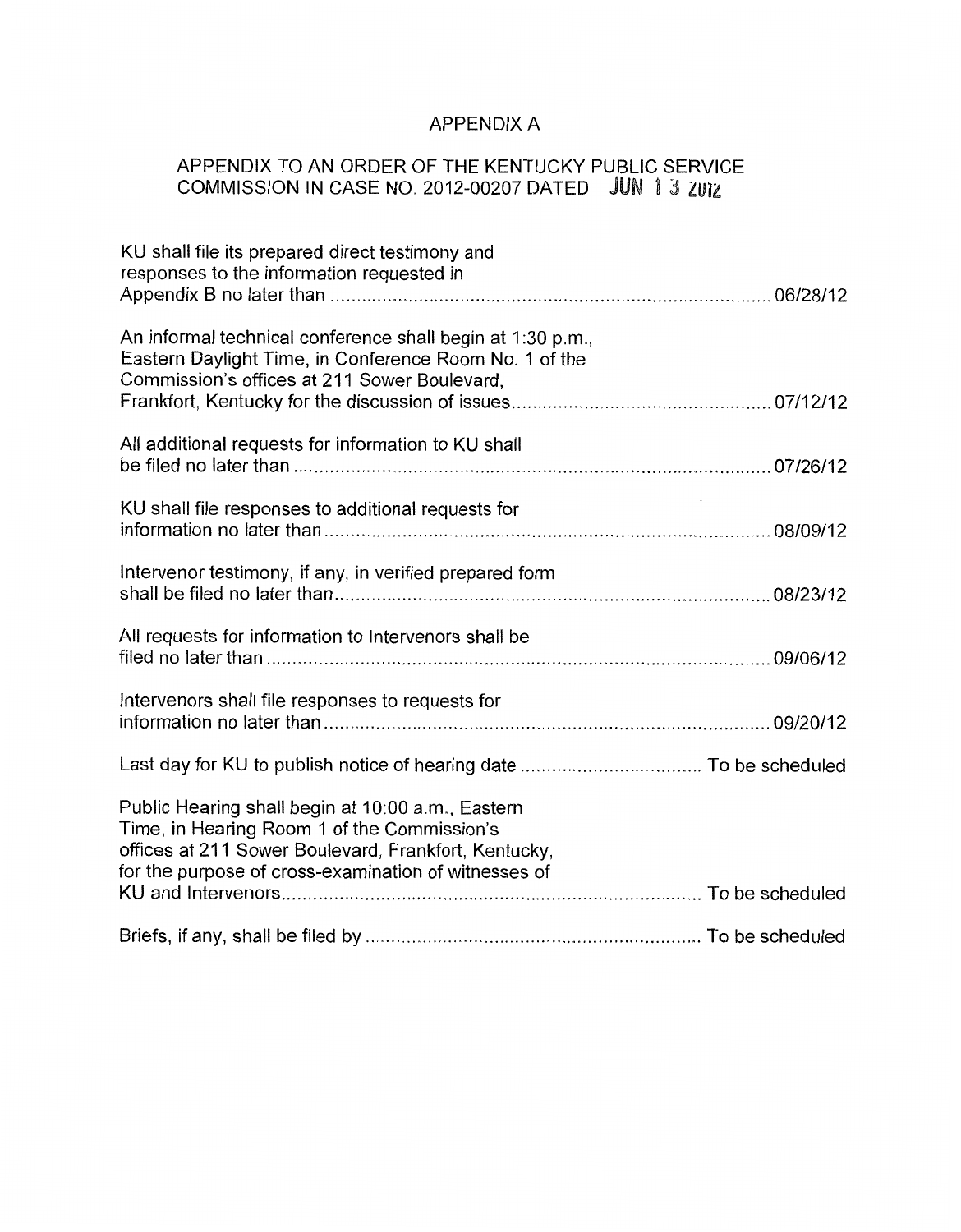# APPENDIX A

## APPENDIX TO AN ORDER OF THE KENTUCKY PUBLIC SERVICE COMMISSION IN CASE NO. 2012-00207 DATED

| KU shall file its prepared direct testimony and<br>responses to the information requested in                                                                                                                     |  |
|------------------------------------------------------------------------------------------------------------------------------------------------------------------------------------------------------------------|--|
|                                                                                                                                                                                                                  |  |
| An informal technical conference shall begin at 1:30 p.m.,<br>Eastern Daylight Time, in Conference Room No. 1 of the<br>Commission's offices at 211 Sower Boulevard,                                             |  |
|                                                                                                                                                                                                                  |  |
| All additional requests for information to KU shall                                                                                                                                                              |  |
|                                                                                                                                                                                                                  |  |
| KU shall file responses to additional requests for                                                                                                                                                               |  |
| Intervenor testimony, if any, in verified prepared form                                                                                                                                                          |  |
| All requests for information to Intervenors shall be                                                                                                                                                             |  |
| Intervenors shall file responses to requests for                                                                                                                                                                 |  |
|                                                                                                                                                                                                                  |  |
|                                                                                                                                                                                                                  |  |
| Public Hearing shall begin at 10:00 a.m., Eastern<br>Time, in Hearing Room 1 of the Commission's<br>offices at 211 Sower Boulevard, Frankfort, Kentucky,<br>for the purpose of cross-examination of witnesses of |  |
|                                                                                                                                                                                                                  |  |
|                                                                                                                                                                                                                  |  |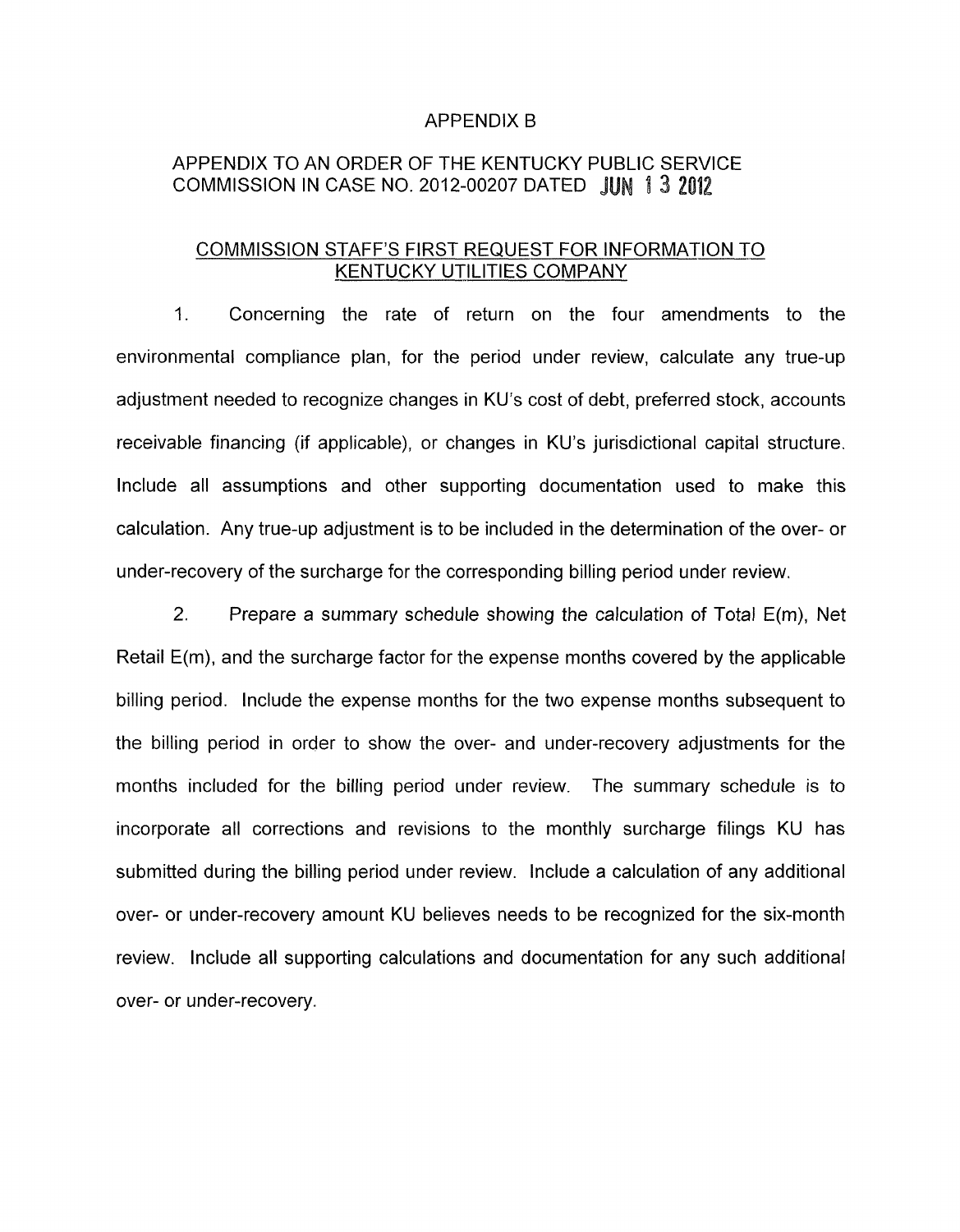#### APPENDIX B

## APPENDIX TO AN ORDER OF THE KENTUCKY PUBLIC SERVICE COMMISSION IN CASE NO. 2012-00207 DATED J

#### COMMISSION STAFF'S FIRST REQUEST FOR INFORMATION TO KENTUCKY UTILITIES COMPANY

1. Concerning the rate of return on the four amendments to the environmental compliance plan, for the period under review, calculate any true-up adjustment needed to recognize changes in KU's cost of debt, preferred stock, accounts receivable financing (if applicable), or changes in KU's jurisdictional capital structure. Include all assumptions and other supporting documentation used to make this calculation. Any true-up adjustment is to be included in the determination of the over- or under-recovery of the surcharge for the corresponding billing period under review,

2. Prepare a summary schedule showing the calculation of Total E(m), Net Retail E(m), and the surcharge factor for the expense months covered by the applicable billing period. Include the expense months for the two expense months subsequent to the billing period in order to show the over- and under-recovery adjustments for the months included for the billing period under review. The summary schedule is to incorporate all corrections and revisions to the monthly surcharge filings KU has submitted during the billing period under review. Include a calculation of any additional over- or under-recovery amount KU believes needs to be recognized for the six-month review. Include all supporting calculations and documentation for any such additional over- or under-recovery.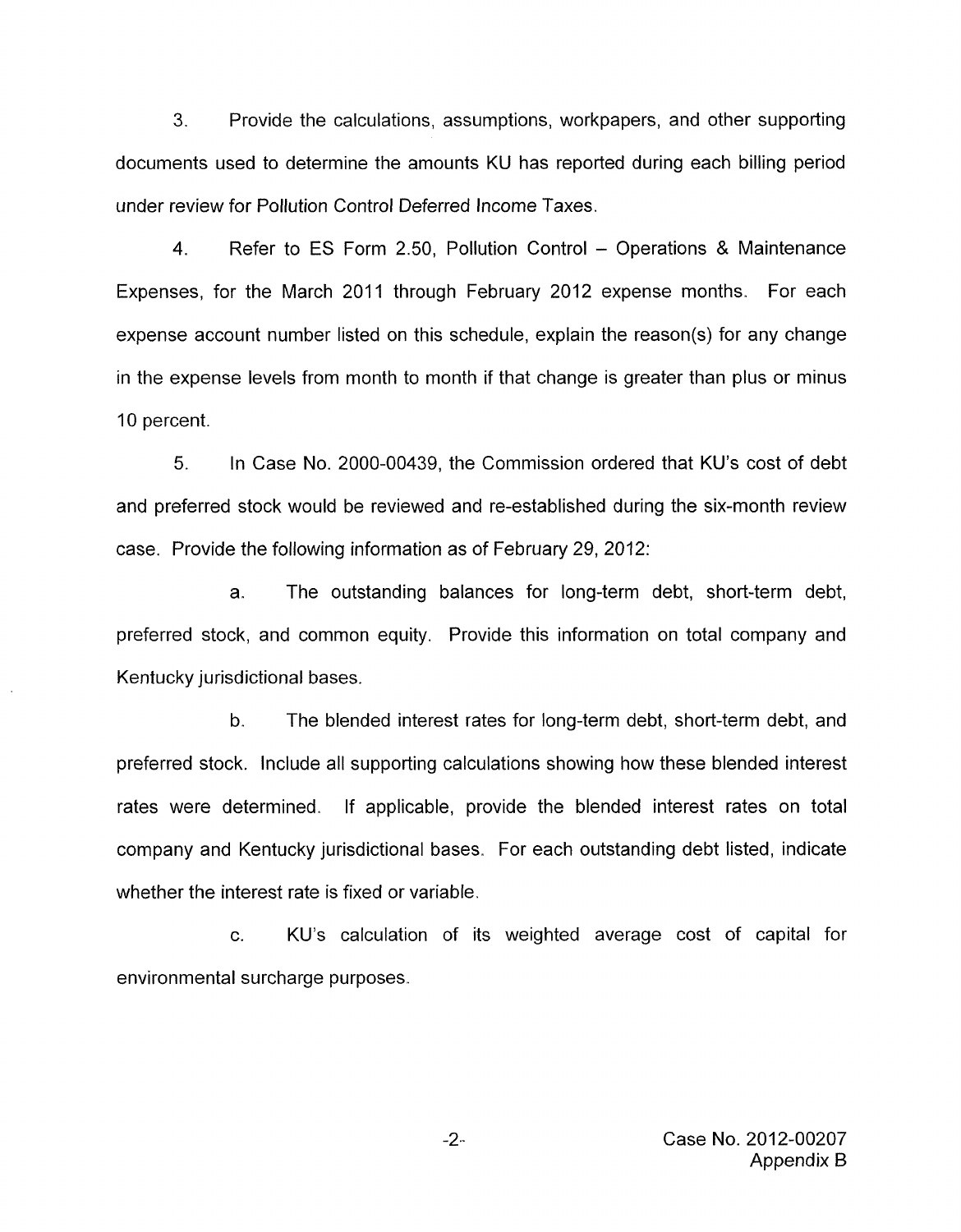3. Provide the calculations, assumptions, workpapers, and other supporting documents used to determine the amounts KU has reported during each billing period under review for Pollution Control Deferred Income Taxes.

4. Refer to ES Form 2.50, Pollution Control - Operations & Maintenance Expenses, for the March 2011 through February 2012 expense months. For each expense account number listed on this schedule, explain the reason(s) for any change in the expense levels from month to month if that change is greater than plus or minus 10 percent.

5. In Case No. 2000-00439, the Commission ordered that KU's cost of debt and preferred stock would be reviewed and re-established during the six-month review case. Provide the following information as of February 29, 2012:

a. The outstanding balances for long-term debt, short-term debt, preferred stock, and common equity. Provide this information on total company and Kentucky jurisdictional bases.

b. The blended interest rates for long-term debt, short-term debt, and preferred stock. Include all supporting calculations showing how these blended interest rates were determined. If applicable, provide the blended interest rates on total company and Kentucky jurisdictional bases. For each outstanding debt listed, indicate whether the interest rate is fixed or variable.

c. KU's calculation of its weighted average cost of capital for environmental surcharge purposes.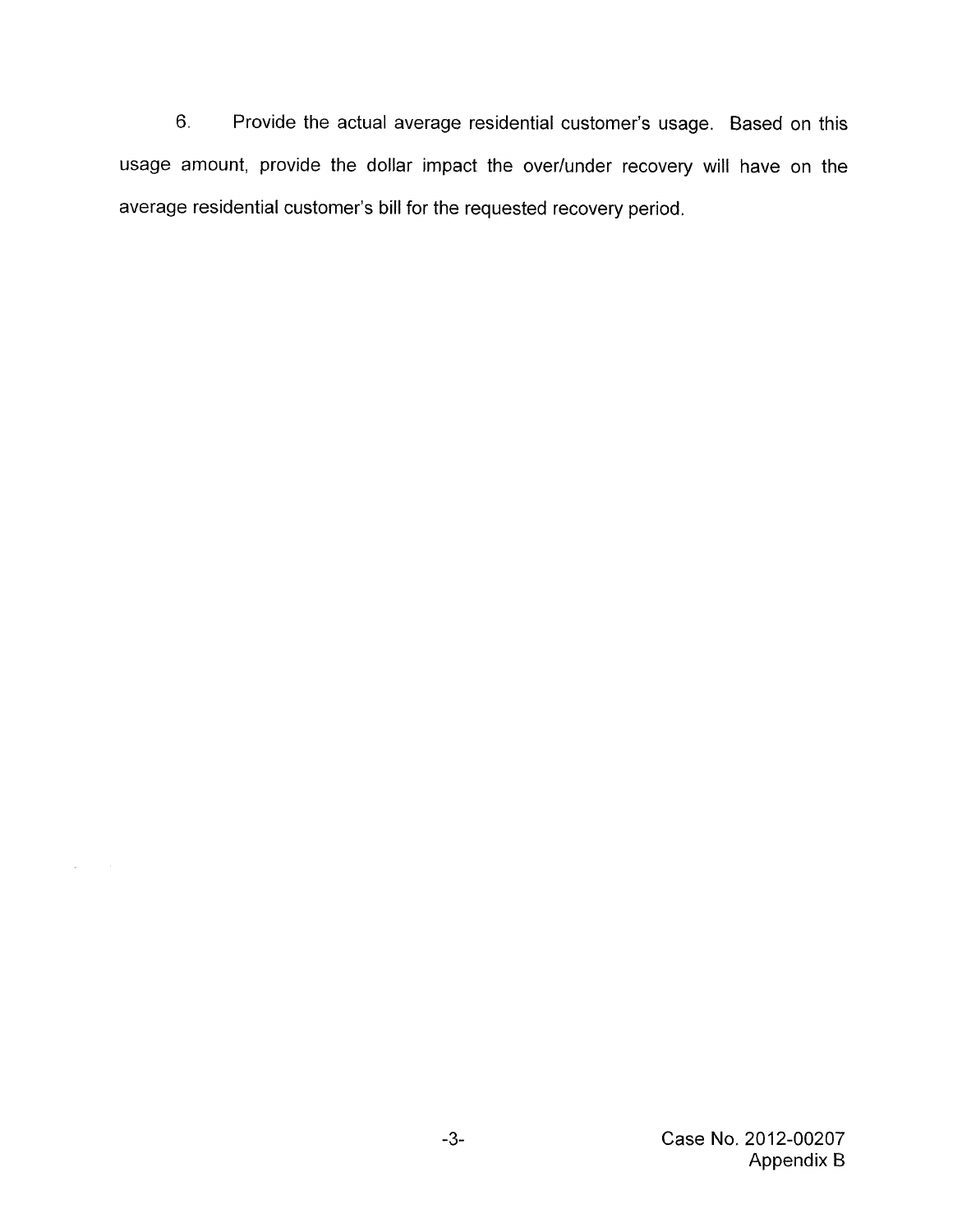6. Provide the actual average residential customer's usage. Based on this usage amount, provide the dollar impact the over/under recovery will have on the average residential customer's bill for the requested recovery period.

 $\sim$